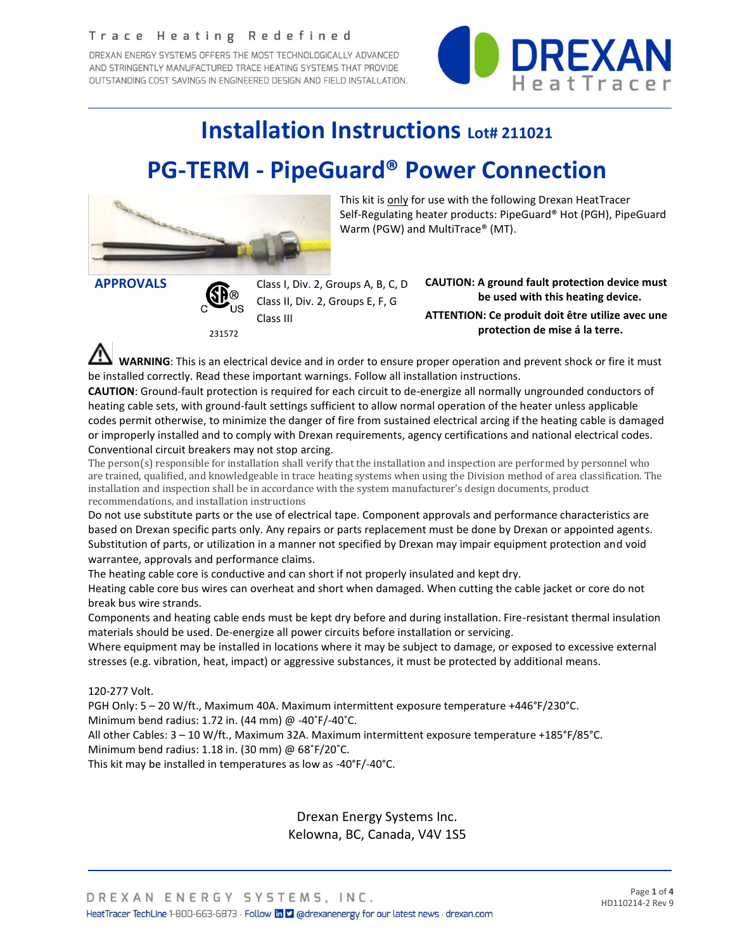#### Trace Heating Redefined

DREXAN ENERGY SYSTEMS OFFERS THE MOST TECHNOLOGICALLY ADVANCED AND STRINGENTLY MANUFACTURED TRACE HEATING SYSTEMS THAT PROVIDE OUTSTANDING COST SAVINGS IN ENGINEERED DESIGN AND FIELD INSTALLATION.



## **Installation Instructions Lot# 211021**

# **PG-TERM - PipeGuard® Power Connection**



This kit is only for use with the following Drexan HeatTracer Self-Regulating heater products: PipeGuard® Hot (PGH), PipeGuard Warm (PGW) and MultiTrace® (MT).



231572

**APPROVALS** Class I, Div. 2, Groups A, B, C, D Class II, Div. 2, Groups E, F, G Class III

**CAUTION: A ground fault protection device must be used with this heating device. ATTENTION: Ce produit doit être utilize avec une protection de mise á la terre.**

 **WARNING**: This is an electrical device and in order to ensure proper operation and prevent shock or fire it must be installed correctly. Read these important warnings. Follow all installation instructions.

**CAUTION**: Ground-fault protection is required for each circuit to de-energize all normally ungrounded conductors of heating cable sets, with ground-fault settings sufficient to allow normal operation of the heater unless applicable codes permit otherwise, to minimize the danger of fire from sustained electrical arcing if the heating cable is damaged or improperly installed and to comply with Drexan requirements, agency certifications and national electrical codes. Conventional circuit breakers may not stop arcing.

The person(s) responsible for installation shall verify that the installation and inspection are performed by personnel who are trained, qualified, and knowledgeable in trace heating systems when using the Division method of area classification. The installation and inspection shall be in accordance with the system manufacturer's design documents, product recommendations, and installation instructions

Do not use substitute parts or the use of electrical tape. Component approvals and performance characteristics are based on Drexan specific parts only. Any repairs or parts replacement must be done by Drexan or appointed agents. Substitution of parts, or utilization in a manner not specified by Drexan may impair equipment protection and void warrantee, approvals and performance claims.

The heating cable core is conductive and can short if not properly insulated and kept dry.

Heating cable core bus wires can overheat and short when damaged. When cutting the cable jacket or core do not break bus wire strands.

Components and heating cable ends must be kept dry before and during installation. Fire-resistant thermal insulation materials should be used. De-energize all power circuits before installation or servicing.

Where equipment may be installed in locations where it may be subject to damage, or exposed to excessive external stresses (e.g. vibration, heat, impact) or aggressive substances, it must be protected by additional means.

#### 120-277 Volt.

PGH Only: 5 – 20 W/ft., Maximum 40A. Maximum intermittent exposure temperature +446°F/230°C.

Minimum bend radius: 1.72 in. (44 mm) @ -40˚F/-40˚C.

All other Cables: 3 – 10 W/ft., Maximum 32A. Maximum intermittent exposure temperature +185°F/85°C. Minimum bend radius: 1.18 in. (30 mm) @ 68˚F/20˚C.

This kit may be installed in temperatures as low as -40°F/-40°C.

Drexan Energy Systems Inc. Kelowna, BC, Canada, V4V 1S5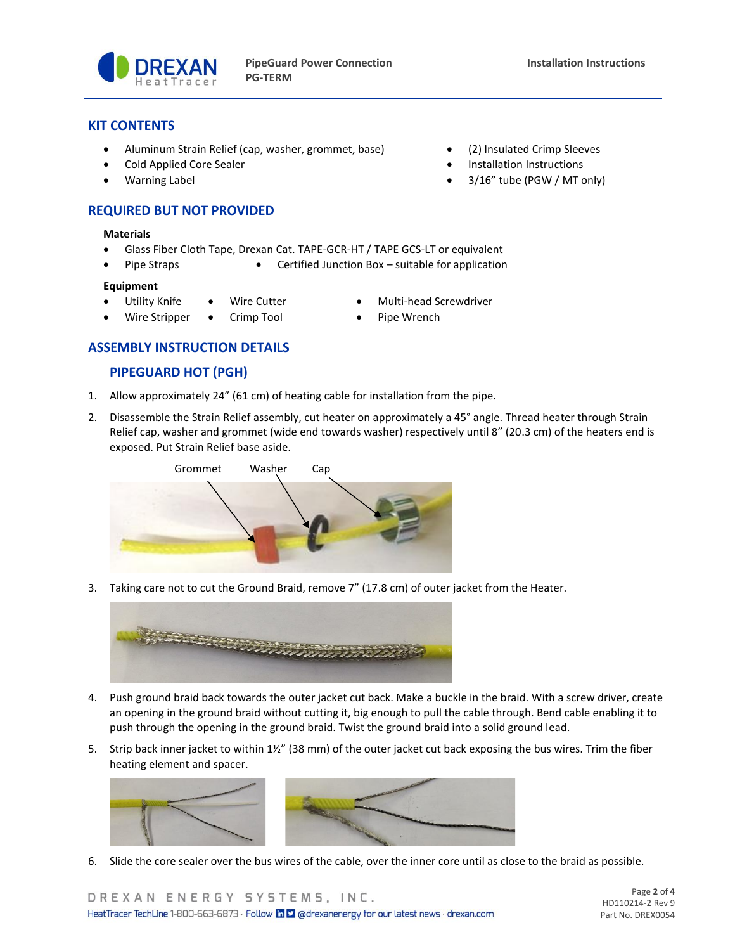

### **KIT CONTENTS**

- Aluminum Strain Relief (cap, washer, grommet, base) (2) Insulated Crimp Sleeves
- Cold Applied Core Sealer Installation Instructions
- Warning Label 3/16" tube (PGW / MT only)

## **REQUIRED BUT NOT PROVIDED**

#### **Materials**

- Glass Fiber Cloth Tape, Drexan Cat. TAPE-GCR-HT / TAPE GCS-LT or equivalent
	- Pipe Straps Certified Junction Box suitable for application

#### **Equipment**

- Utility Knife Wire Cutter Multi-head Screwdriver
	- Wire Stripper Crimp Tool Pipe Wrench
- -

## **ASSEMBLY INSTRUCTION DETAILS**

## **PIPEGUARD HOT (PGH)**

- 1. Allow approximately 24" (61 cm) of heating cable for installation from the pipe.
- 2. Disassemble the Strain Relief assembly, cut heater on approximately a 45° angle. Thread heater through Strain Relief cap, washer and grommet (wide end towards washer) respectively until 8" (20.3 cm) of the heaters end is exposed. Put Strain Relief base aside.



3. Taking care not to cut the Ground Braid, remove 7" (17.8 cm) of outer jacket from the Heater.



- 4. Push ground braid back towards the outer jacket cut back. Make a buckle in the braid. With a screw driver, create an opening in the ground braid without cutting it, big enough to pull the cable through. Bend cable enabling it to push through the opening in the ground braid. Twist the ground braid into a solid ground lead.
- 5. Strip back inner jacket to within 1½" (38 mm) of the outer jacket cut back exposing the bus wires. Trim the fiber heating element and spacer.



6. Slide the core sealer over the bus wires of the cable, over the inner core until as close to the braid as possible.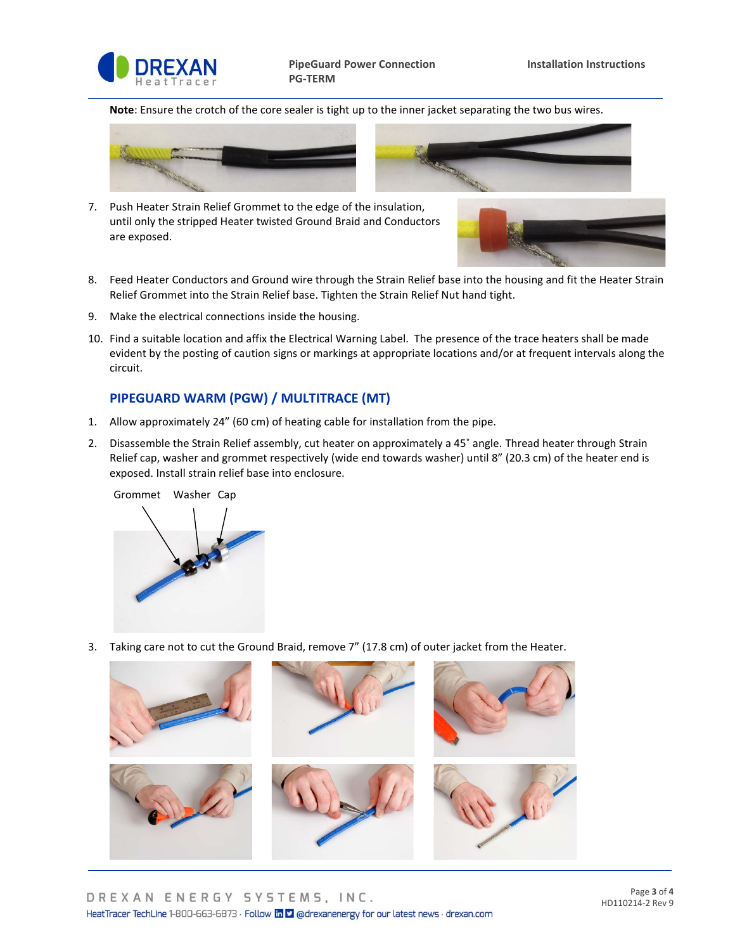

**Note**: Ensure the crotch of the core sealer is tight up to the inner jacket separating the two bus wires.



7. Push Heater Strain Relief Grommet to the edge of the insulation, until only the stripped Heater twisted Ground Braid and Conductors are exposed.



- 
- 8. Feed Heater Conductors and Ground wire through the Strain Relief base into the housing and fit the Heater Strain Relief Grommet into the Strain Relief base. Tighten the Strain Relief Nut hand tight.
- 9. Make the electrical connections inside the housing.
- 10. Find a suitable location and affix the Electrical Warning Label. The presence of the trace heaters shall be made evident by the posting of caution signs or markings at appropriate locations and/or at frequent intervals along the circuit.

## **PIPEGUARD WARM (PGW) / MULTITRACE (MT)**

- 1. Allow approximately 24" (60 cm) of heating cable for installation from the pipe.
- 2. Disassemble the Strain Relief assembly, cut heater on approximately a 45˚ angle. Thread heater through Strain Relief cap, washer and grommet respectively (wide end towards washer) until 8" (20.3 cm) of the heater end is exposed. Install strain relief base into enclosure.



3. Taking care not to cut the Ground Braid, remove 7" (17.8 cm) of outer jacket from the Heater.